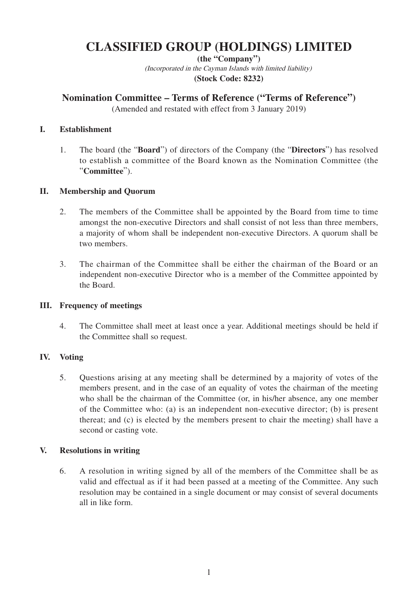# **CLASSIFIED GROUP (HOLDINGS) LIMITED**

**(the "Company")** (Incorporated in the Cayman Islands with limited liability) **(Stock Code: 8232)**

# **Nomination Committee – Terms of Reference ("Terms of Reference")**

(Amended and restated with effect from 3 January 2019)

#### **I. Establishment**

1. The board (the "**Board**") of directors of the Company (the "**Directors**") has resolved to establish a committee of the Board known as the Nomination Committee (the "**Committee**").

## **II. Membership and Quorum**

- 2. The members of the Committee shall be appointed by the Board from time to time amongst the non-executive Directors and shall consist of not less than three members, a majority of whom shall be independent non-executive Directors. A quorum shall be two members.
- 3. The chairman of the Committee shall be either the chairman of the Board or an independent non-executive Director who is a member of the Committee appointed by the Board.

#### **III. Frequency of meetings**

4. The Committee shall meet at least once a year. Additional meetings should be held if the Committee shall so request.

# **IV. Voting**

5. Questions arising at any meeting shall be determined by a majority of votes of the members present, and in the case of an equality of votes the chairman of the meeting who shall be the chairman of the Committee (or, in his/her absence, any one member of the Committee who: (a) is an independent non-executive director; (b) is present thereat; and (c) is elected by the members present to chair the meeting) shall have a second or casting vote.

#### **V. Resolutions in writing**

6. A resolution in writing signed by all of the members of the Committee shall be as valid and effectual as if it had been passed at a meeting of the Committee. Any such resolution may be contained in a single document or may consist of several documents all in like form.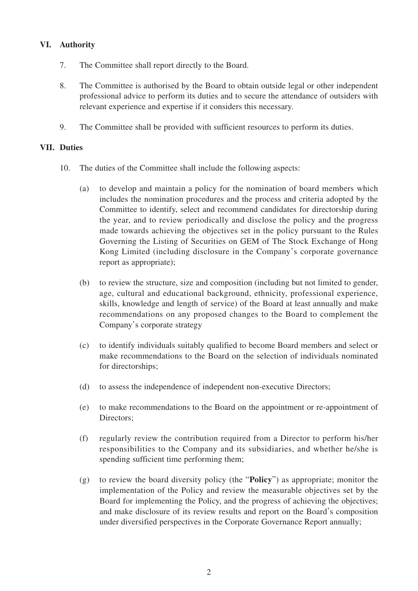## **VI. Authority**

- 7. The Committee shall report directly to the Board.
- 8. The Committee is authorised by the Board to obtain outside legal or other independent professional advice to perform its duties and to secure the attendance of outsiders with relevant experience and expertise if it considers this necessary.
- 9. The Committee shall be provided with sufficient resources to perform its duties.

#### **VII. Duties**

- 10. The duties of the Committee shall include the following aspects:
	- (a) to develop and maintain a policy for the nomination of board members which includes the nomination procedures and the process and criteria adopted by the Committee to identify, select and recommend candidates for directorship during the year, and to review periodically and disclose the policy and the progress made towards achieving the objectives set in the policy pursuant to the Rules Governing the Listing of Securities on GEM of The Stock Exchange of Hong Kong Limited (including disclosure in the Company's corporate governance report as appropriate);
	- (b) to review the structure, size and composition (including but not limited to gender, age, cultural and educational background, ethnicity, professional experience, skills, knowledge and length of service) of the Board at least annually and make recommendations on any proposed changes to the Board to complement the Company's corporate strategy
	- (c) to identify individuals suitably qualified to become Board members and select or make recommendations to the Board on the selection of individuals nominated for directorships;
	- (d) to assess the independence of independent non-executive Directors;
	- (e) to make recommendations to the Board on the appointment or re-appointment of Directors;
	- (f) regularly review the contribution required from a Director to perform his/her responsibilities to the Company and its subsidiaries, and whether he/she is spending sufficient time performing them;
	- (g) to review the board diversity policy (the "**Policy**") as appropriate; monitor the implementation of the Policy and review the measurable objectives set by the Board for implementing the Policy, and the progress of achieving the objectives; and make disclosure of its review results and report on the Board's composition under diversified perspectives in the Corporate Governance Report annually;